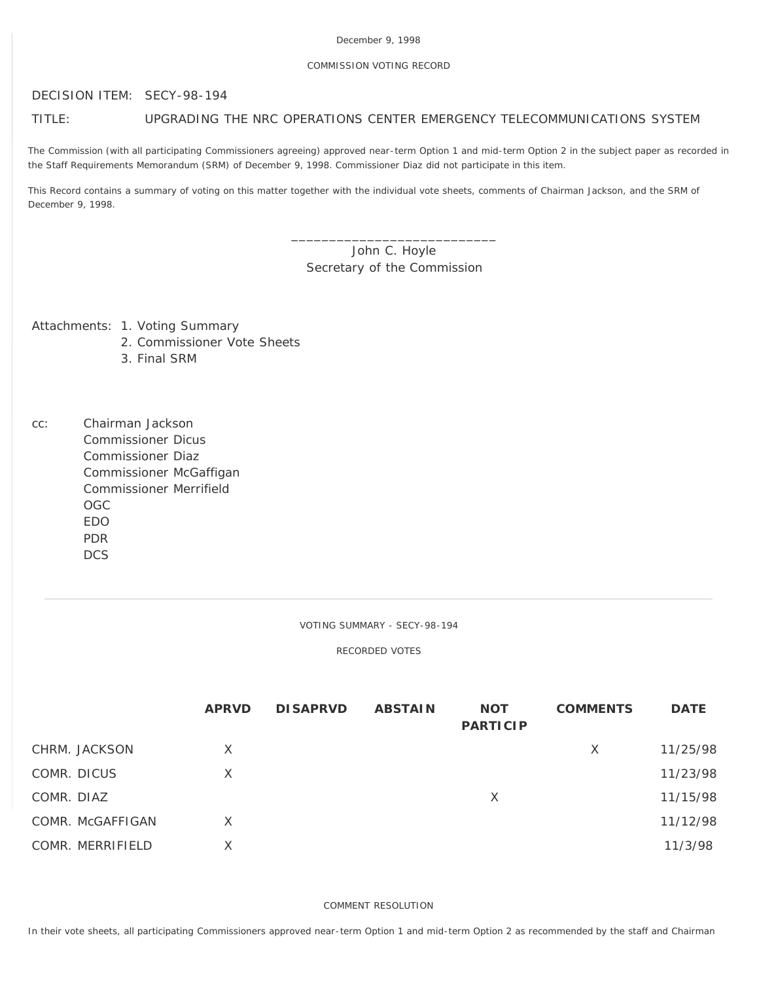#### COMMISSION VOTING RECORD

#### DECISION ITEM: SECY-98-194

## TITLE: UPGRADING THE NRC OPERATIONS CENTER EMERGENCY TELECOMMUNICATIONS SYSTEM

The Commission (with all participating Commissioners agreeing) approved near-term Option 1 and mid-term Option 2 in the subject paper as recorded in the Staff Requirements Memorandum (SRM) of December 9, 1998. Commissioner Diaz did not participate in this item.

This Record contains a summary of voting on this matter together with the individual vote sheets, comments of Chairman Jackson, and the SRM of December 9, 1998.

# John C. Hoyle Secretary of the Commission

\_\_\_\_\_\_\_\_\_\_\_\_\_\_\_\_\_\_\_\_\_\_\_\_\_\_\_

Attachments: 1. Voting Summary

- 2. Commissioner Vote Sheets
- 3. Final SRM
- cc: Chairman Jackson Commissioner Dicus Commissioner Diaz Commissioner McGaffigan Commissioner Merrifield OGC EDO PDR **DCS**

VOTING SUMMARY - SECY-98-194

RECORDED VOTES

|                  | <b>APRVD</b> | <b>DISAPRVD</b> | <b>ABSTAIN</b> | <b>NOT</b><br><b>PARTICIP</b> | <b>COMMENTS</b> | <b>DATE</b> |
|------------------|--------------|-----------------|----------------|-------------------------------|-----------------|-------------|
| CHRM. JACKSON    | X            |                 |                |                               | X               | 11/25/98    |
| COMR. DICUS      | X            |                 |                |                               |                 | 11/23/98    |
| COMR. DIAZ       |              |                 |                | X                             |                 | 11/15/98    |
| COMR. McGAFFIGAN | X            |                 |                |                               |                 | 11/12/98    |
| COMR. MERRIFIELD | X            |                 |                |                               |                 | 11/3/98     |

COMMENT RESOLUTION